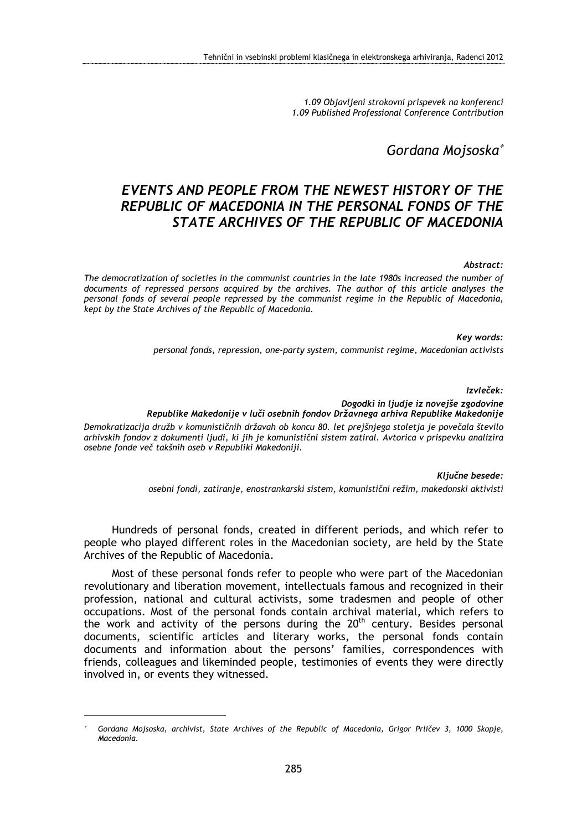1.09 Objavljeni strokovni prispevek na konferenci 1.09 Published Professional Conference Contribution

## Gordana Mojsoska<sup>∗</sup>

# EVENTS AND PEOPLE FROM THE NEWEST HISTORY OF THE REPUBLIC OF MACEDONIA IN THE PERSONAL FONDS OF THE STATE ARCHIVES OF THE REPUBLIC OF MACEDONIA

#### Abstract:

The democratization of societies in the communist countries in the late 1980s increased the number of documents of repressed persons acquired by the archives. The author of this article analyses the personal fonds of several people repressed by the communist regime in the Republic of Macedonia, kept by the State Archives of the Republic of Macedonia.

> Key words: personal fonds, repression, one-party system, communist regime, Macedonian activists

#### Izvleček:

Dogodki in ljudje iz novejše zgodovine Republike Makedonije v luči osebnih fondov Državnega arhiva Republike Makedonije

Demokratizacija družb v komunističnih državah ob koncu 80. let prejšnjega stoletja je povečala število arhivskih fondov z dokumenti ljudi, ki jih je komunistični sistem zatiral. Avtorica v prispevku analizira osebne fonde več takšnih oseb v Republiki Makedoniji.

Ključne besede:

osebni fondi, zatiranje, enostrankarski sistem, komunistični režim, makedonski aktivisti

Hundreds of personal fonds, created in different periods, and which refer to people who played different roles in the Macedonian society, are held by the State Archives of the Republic of Macedonia.

Most of these personal fonds refer to people who were part of the Macedonian revolutionary and liberation movement, intellectuals famous and recognized in their profession, national and cultural activists, some tradesmen and people of other occupations. Most of the personal fonds contain archival material, which refers to the work and activity of the persons during the  $20<sup>th</sup>$  century. Besides personal documents, scientific articles and literary works, the personal fonds contain documents and information about the persons' families, correspondences with friends, colleagues and likeminded people, testimonies of events they were directly involved in, or events they witnessed.

<sup>∗</sup> Gordana Mojsoska, archivist, State Archives of the Republic of Macedonia, Grigor Prličev 3, 1000 Skopje, Macedonia.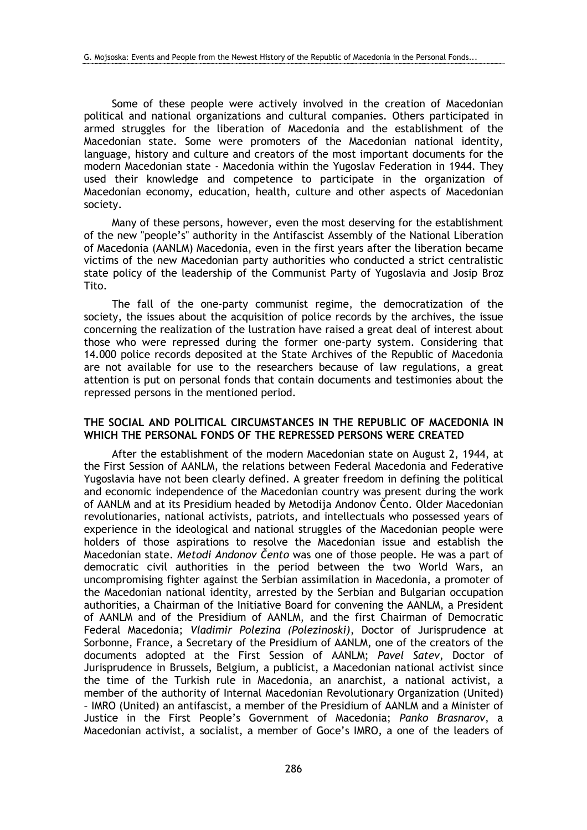Some of these people were actively involved in the creation of Macedonian political and national organizations and cultural companies. Others participated in armed struggles for the liberation of Macedonia and the establishment of the Macedonian state. Some were promoters of the Macedonian national identity, language, history and culture and creators of the most important documents for the modern Macedonian state - Macedonia within the Yugoslav Federation in 1944. They used their knowledge and competence to participate in the organization of Macedonian economy, education, health, culture and other aspects of Macedonian society.

Many of these persons, however, even the most deserving for the establishment of the new "people's" authority in the Antifascist Assembly of the National Liberation of Macedonia (AANLM) Macedonia, even in the first years after the liberation became victims of the new Macedonian party authorities who conducted a strict centralistic state policy of the leadership of the Communist Party of Yugoslavia and Josip Broz Tito.

The fall of the one-party communist regime, the democratization of the society, the issues about the acquisition of police records by the archives, the issue concerning the realization of the lustration have raised a great deal of interest about those who were repressed during the former one-party system. Considering that 14.000 police records deposited at the State Archives of the Republic of Macedonia are not available for use to the researchers because of law regulations, a great attention is put on personal fonds that contain documents and testimonies about the repressed persons in the mentioned period.

#### THE SOCIAL AND POLITICAL CIRCUMSTANCES IN THE REPUBLIC OF MACEDONIA IN WHICH THE PERSONAL FONDS OF THE REPRESSED PERSONS WERE CREATED

After the establishment of the modern Macedonian state on August 2, 1944, at the First Session of AANLM, the relations between Federal Macedonia and Federative Yugoslavia have not been clearly defined. A greater freedom in defining the political and economic independence of the Macedonian country was present during the work of AANLM and at its Presidium headed by Metodija Andonov Čento. Older Macedonian revolutionaries, national activists, patriots, and intellectuals who possessed years of experience in the ideological and national struggles of the Macedonian people were holders of those aspirations to resolve the Macedonian issue and establish the Macedonian state. Metodi Andonov Čento was one of those people. He was a part of democratic civil authorities in the period between the two World Wars, an uncompromising fighter against the Serbian assimilation in Macedonia, a promoter of the Macedonian national identity, arrested by the Serbian and Bulgarian occupation authorities, a Chairman of the Initiative Board for convening the AANLM, a President of AANLM and of the Presidium of AANLM, and the first Chairman of Democratic Federal Macedonia; Vladimir Polezina (Polezinoski), Doctor of Jurisprudence at Sorbonne, France, a Secretary of the Presidium of AANLM, one of the creators of the documents adopted at the First Session of AANLM; Pavel Satev, Doctor of Jurisprudence in Brussels, Belgium, a publicist, a Macedonian national activist since the time of the Turkish rule in Macedonia, an anarchist, a national activist, a member of the authority of Internal Macedonian Revolutionary Organization (United) – IMRO (United) an antifascist, a member of the Presidium of AANLM and a Minister of Justice in the First People's Government of Macedonia; Panko Brasnarov, a Macedonian activist, a socialist, a member of Goce's IMRO, a one of the leaders of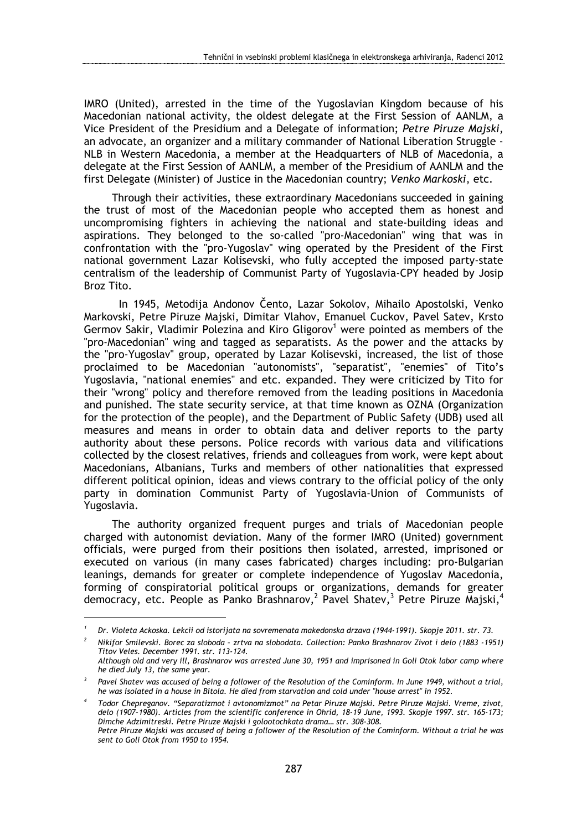IMRO (United), arrested in the time of the Yugoslavian Kingdom because of his Macedonian national activity, the oldest delegate at the First Session of AANLM, a Vice President of the Presidium and a Delegate of information; Petre Piruze Majski, an advocate, an organizer and a military commander of National Liberation Struggle - NLB in Western Macedonia, a member at the Headquarters of NLB of Macedonia, a delegate at the First Session of AANLM, a member of the Presidium of AANLM and the first Delegate (Minister) of Justice in the Macedonian country; Venko Markoski, etc.

Through their activities, these extraordinary Macedonians succeeded in gaining the trust of most of the Macedonian people who accepted them as honest and uncompromising fighters in achieving the national and state-building ideas and aspirations. They belonged to the so-called "pro-Macedonian" wing that was in confrontation with the "pro-Yugoslav" wing operated by the President of the First national government Lazar Kolisevski, who fully accepted the imposed party-state centralism of the leadership of Communist Party of Yugoslavia-CPY headed by Josip Broz Tito.

 In 1945, Metodija Andonov Čento, Lazar Sokolov, Mihailo Apostolski, Venko Markovski, Petre Piruze Majski, Dimitar Vlahov, Emanuel Cuckov, Pavel Satev, Krsto Germov Sakir, Vladimir Polezina and Kiro Gligorov<sup>1</sup> were pointed as members of the "pro-Macedonian" wing and tagged as separatists. As the power and the attacks by the "pro-Yugoslav" group, operated by Lazar Kolisevski, increased, the list of those proclaimed to be Macedonian "autonomists", "separatist", "enemies" of Tito's Yugoslavia, "national enemies" and etc. expanded. They were criticized by Tito for their "wrong" policy and therefore removed from the leading positions in Macedonia and punished. The state security service, at that time known as OZNA (Organization for the protection of the people), and the Department of Public Safety (UDB) used all measures and means in order to obtain data and deliver reports to the party authority about these persons. Police records with various data and vilifications collected by the closest relatives, friends and colleagues from work, were kept about Macedonians, Albanians, Turks and members of other nationalities that expressed different political opinion, ideas and views contrary to the official policy of the only party in domination Communist Party of Yugoslavia-Union of Communists of Yugoslavia.

The authority organized frequent purges and trials of Macedonian people charged with autonomist deviation. Many of the former IMRO (United) government officials, were purged from their positions then isolated, arrested, imprisoned or executed on various (in many cases fabricated) charges including: pro-Bulgarian leanings, demands for greater or complete independence of Yugoslav Macedonia, forming of conspiratorial political groups or organizations, demands for greater democracy, etc. People as Panko Brashnarov,<sup>2</sup> Pavel Shatev,<sup>3</sup> Petre Piruze Majski,<sup>4</sup>

<sup>1</sup> Dr. Violeta Ackoska. Lekcii od istorijata na sovremenata makedonska drzava (1944-1991). Skopje 2011. str. 73.

<sup>2</sup> Nikifor Smilevski. Borec za sloboda – zrtva na slobodata. Collection: Panko Brashnarov Zivot i delo (1883 -1951) Titov Veles. December 1991. str. 113-124.

Although old and very ill, Brashnarov was arrested June 30, 1951 and imprisoned in Goli Otok labor camp where he died July 13, the same year.

<sup>3</sup> Pavel Shatev was accused of being a follower of the Resolution of the Cominform. In June 1949, without a trial, he was isolated in a house in Bitola. He died from starvation and cold under "house arrest" in 1952.

<sup>4</sup> Todor Chepreganov. "Separatizmot i avtonomizmot" na Petar Piruze Majski. Petre Piruze Majski. Vreme, zivot, delo (1907–1980). Articles from the scientific conference in Ohrid, 18-19 June, 1993. Skopje 1997. str. 165-173; Dimche Adzimitreski. Petre Piruze Majski i golootochkata drama… str. 308-308. Petre Piruze Majski was accused of being a follower of the Resolution of the Cominform. Without a trial he was sent to Goli Otok from 1950 to 1954.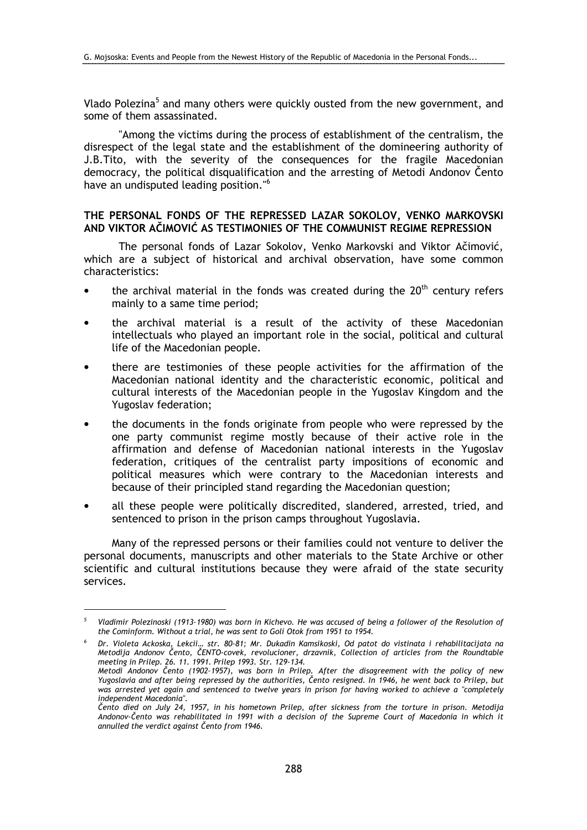Vlado Polezina<sup>5</sup> and many others were quickly ousted from the new government, and some of them assassinated.

 "Among the victims during the process of establishment of the centralism, the disrespect of the legal state and the establishment of the domineering authority of J.B.Tito, with the severity of the consequences for the fragile Macedonian democracy, the political disqualification and the arresting of Metodi Andonov Čento have an undisputed leading position."<sup>6</sup>

### THE PERSONAL FONDS OF THE REPRESSED LAZAR SOKOLOV, VENKO MARKOVSKI AND VIKTOR AČIMOVIĆ AS TESTIMONIES OF THE COMMUNIST REGIME REPRESSION

 The personal fonds of Lazar Sokolov, Venko Markovski and Viktor Ačimović, which are a subject of historical and archival observation, have some common characteristics:

- the archival material in the fonds was created during the  $20<sup>th</sup>$  century refers mainly to a same time period;
- the archival material is a result of the activity of these Macedonian intellectuals who played an important role in the social, political and cultural life of the Macedonian people.
- there are testimonies of these people activities for the affirmation of the Macedonian national identity and the characteristic economic, political and cultural interests of the Macedonian people in the Yugoslav Kingdom and the Yugoslav federation;
- the documents in the fonds originate from people who were repressed by the one party communist regime mostly because of their active role in the affirmation and defense of Macedonian national interests in the Yugoslav federation, critiques of the centralist party impositions of economic and political measures which were contrary to the Macedonian interests and because of their principled stand regarding the Macedonian question;
- all these people were politically discredited, slandered, arrested, tried, and sentenced to prison in the prison camps throughout Yugoslavia.

Many of the repressed persons or their families could not venture to deliver the personal documents, manuscripts and other materials to the State Archive or other scientific and cultural institutions because they were afraid of the state security services.

<sup>5</sup> Vladimir Polezinoski (1913–1980) was born in Kichevo. He was accused of being a follower of the Resolution of the Cominform. Without a trial, he was sent to Goli Otok from 1951 to 1954.

<sup>6</sup> Dr. Violeta Ackoska, Lekcii… str. 80-81; Mr. Dukadin Kamsikoski, Od patot do vistinata i rehabilitacijata na Metodija Andonov Čento, ČENTO-covek, revolucioner, drzavnik, Collection of articles from the Roundtable meeting in Prilep. 26. 11. 1991. Prilep 1993. Str. 129-134.

Metodi Andonov Čento (1902–1957), was born in Prilep. After the disagreement with the policy of new Yugoslavia and after being repressed by the authorities, Čento resigned. In 1946, he went back to Prilep, but was arrested yet again and sentenced to twelve years in prison for having worked to achieve a "completely independent Macedonia".

Čento died on July 24, 1957, in his hometown Prilep, after sickness from the torture in prison. Metodija Andonov-Čento was rehabilitated in 1991 with a decision of the Supreme Court of Macedonia in which it annulled the verdict against Čento from 1946.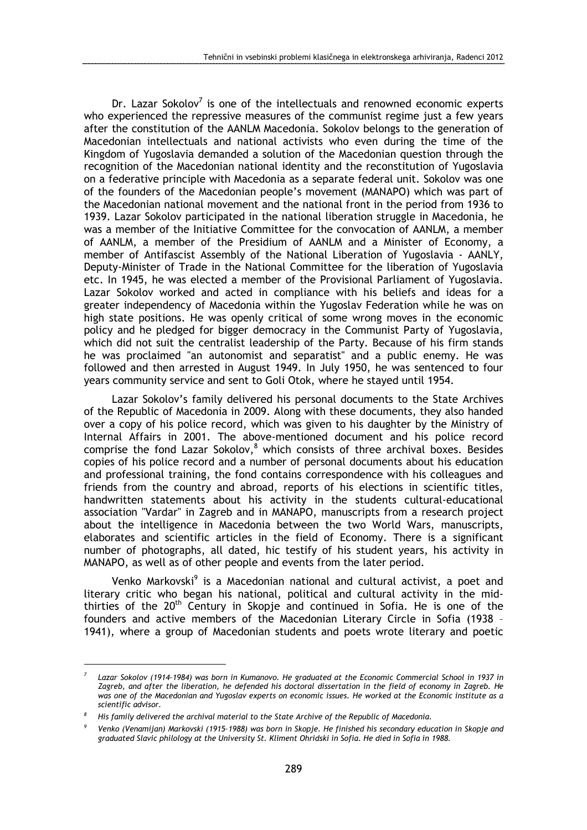Dr. Lazar Sokolov<sup>7</sup> is one of the intellectuals and renowned economic experts who experienced the repressive measures of the communist regime just a few years after the constitution of the AANLM Macedonia. Sokolov belongs to the generation of Macedonian intellectuals and national activists who even during the time of the Kingdom of Yugoslavia demanded a solution of the Macedonian question through the recognition of the Macedonian national identity and the reconstitution of Yugoslavia on a federative principle with Macedonia as a separate federal unit. Sokolov was one of the founders of the Macedonian people's movement (MANAPO) which was part of the Macedonian national movement and the national front in the period from 1936 to 1939. Lazar Sokolov participated in the national liberation struggle in Macedonia, he was a member of the Initiative Committee for the convocation of AANLM, a member of AANLM, a member of the Presidium of AANLM and a Minister of Economy, a member of Antifascist Assembly of the National Liberation of Yugoslavia - AANLY, Deputy-Minister of Trade in the National Committee for the liberation of Yugoslavia etc. In 1945, he was elected a member of the Provisional Parliament of Yugoslavia. Lazar Sokolov worked and acted in compliance with his beliefs and ideas for a greater independency of Macedonia within the Yugoslav Federation while he was on high state positions. He was openly critical of some wrong moves in the economic policy and he pledged for bigger democracy in the Communist Party of Yugoslavia, which did not suit the centralist leadership of the Party. Because of his firm stands he was proclaimed "an autonomist and separatist" and a public enemy. He was followed and then arrested in August 1949. In July 1950, he was sentenced to four years community service and sent to Goli Otok, where he stayed until 1954.

Lazar Sokolov's family delivered his personal documents to the State Archives of the Republic of Macedonia in 2009. Along with these documents, they also handed over a copy of his police record, which was given to his daughter by the Ministry of Internal Affairs in 2001. The above-mentioned document and his police record comprise the fond Lazar Sokolov, $^8$  which consists of three archival boxes. Besides copies of his police record and a number of personal documents about his education and professional training, the fond contains correspondence with his colleagues and friends from the country and abroad, reports of his elections in scientific titles, handwritten statements about his activity in the students cultural-educational association "Vardar" in Zagreb and in MANAPO, manuscripts from a research project about the intelligence in Macedonia between the two World Wars, manuscripts, elaborates and scientific articles in the field of Economy. There is a significant number of photographs, all dated, hic testify of his student years, his activity in MANAPO, as well as of other people and events from the later period.

Venko Markovski<sup>9</sup> is a Macedonian national and cultural activist, a poet and literary critic who began his national, political and cultural activity in the midthirties of the 20<sup>th</sup> Century in Skopje and continued in Sofia. He is one of the founders and active members of the Macedonian Literary Circle in Sofia (1938 – 1941), where a group of Macedonian students and poets wrote literary and poetic

<sup>7</sup> Lazar Sokolov (1914–1984) was born in Kumanovo. He graduated at the Economic Commercial School in 1937 in Zagreb, and after the liberation, he defended his doctoral dissertation in the field of economy in Zagreb. He was one of the Macedonian and Yugoslav experts on economic issues. He worked at the Economic institute as a scientific advisor.

<sup>8</sup> His family delivered the archival material to the State Archive of the Republic of Macedonia.

<sup>9</sup> Venko (Venamijan) Markovski (1915–1988) was born in Skopje. He finished his secondary education in Skopje and graduated Slavic philology at the University St. Kliment Ohridski in Sofia. He died in Sofia in 1988.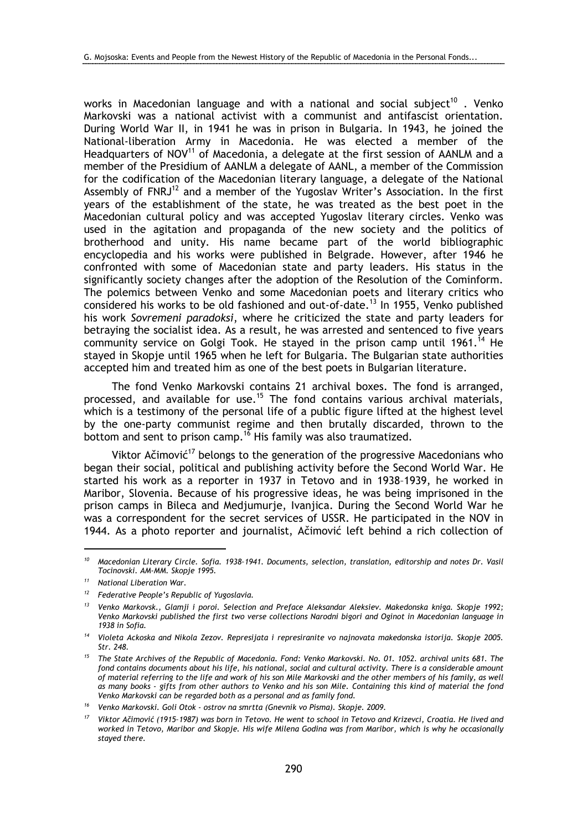works in Macedonian language and with a national and social subject<sup>10</sup>. Venko Markovski was a national activist with a communist and antifascist orientation. During World War II, in 1941 he was in prison in Bulgaria. In 1943, he joined the National-liberation Army in Macedonia. He was elected a member of the Headquarters of NOV $<sup>11</sup>$  of Macedonia, a delegate at the first session of AANLM and a</sup> member of the Presidium of AANLM a delegate of AANL, a member of the Commission for the codification of the Macedonian literary language, a delegate of the National Assembly of  $FNRJ<sup>12</sup>$  and a member of the Yugoslav Writer's Association. In the first years of the establishment of the state, he was treated as the best poet in the Macedonian cultural policy and was accepted Yugoslav literary circles. Venko was used in the agitation and propaganda of the new society and the politics of brotherhood and unity. His name became part of the world bibliographic encyclopedia and his works were published in Belgrade. However, after 1946 he confronted with some of Macedonian state and party leaders. His status in the significantly society changes after the adoption of the Resolution of the Cominform. The polemics between Venko and some Macedonian poets and literary critics who considered his works to be old fashioned and out-of-date.<sup>13</sup> In 1955, Venko published his work Sovremeni paradoksi, where he criticized the state and party leaders for betraying the socialist idea. As a result, he was arrested and sentenced to five years community service on Golgi Took. He stayed in the prison camp until 1961.<sup>14</sup> He stayed in Skopje until 1965 when he left for Bulgaria. The Bulgarian state authorities accepted him and treated him as one of the best poets in Bulgarian literature.

The fond Venko Markovski contains 21 archival boxes. The fond is arranged, processed, and available for use.<sup>15</sup> The fond contains various archival materials, which is a testimony of the personal life of a public figure lifted at the highest level by the one-party communist regime and then brutally discarded, thrown to the bottom and sent to prison camp.<sup>16</sup> His family was also traumatized.

Viktor Ačimović<sup>17</sup> belongs to the generation of the progressive Macedonians who began their social, political and publishing activity before the Second World War. He started his work as a reporter in 1937 in Tetovo and in 1938–1939, he worked in Maribor, Slovenia. Because of his progressive ideas, he was being imprisoned in the prison camps in Bileca and Medjumurje, Ivanjica. During the Second World War he was a correspondent for the secret services of USSR. He participated in the NOV in 1944. As a photo reporter and journalist, Ačimović left behind a rich collection of

 $10$  Macedonian Literary Circle. Sofia. 1938-1941. Documents, selection, translation, editorship and notes Dr. Vasil Tocinovski. AM-MM. Skopje 1995.

National Liberation War.

<sup>&</sup>lt;sup>12</sup> Federative People's Republic of Yugoslavia.

<sup>&</sup>lt;sup>13</sup> Venko Markovsk., Glamji i poroi. Selection and Preface Aleksandar Aleksiev. Makedonska kniga. Skopje 1992; Venko Markovski published the first two verse collections Narodni bigori and Oginot in Macedonian language in 1938 in Sofia.

<sup>&</sup>lt;sup>14</sup> Violeta Ackoska and Nikola Zezov. Represijata i represiranite vo najnovata makedonska istorija. Skopje 2005. Str. 248.

<sup>&</sup>lt;sup>15</sup> The State Archives of the Republic of Macedonia. Fond: Venko Markovski. No. 01. 1052. archival units 681. The fond contains documents about his life, his national, social and cultural activity. There is a considerable amount of material referring to the life and work of his son Mile Markovski and the other members of his family, as well as many books - gifts from other authors to Venko and his son Mile. Containing this kind of material the fond Venko Markovski can be regarded both as a personal and as family fond.

<sup>&</sup>lt;sup>16</sup> Venko Markovski. Goli Otok - ostrov na smrtta (Gnevnik vo Pisma). Skopje. 2009.

<sup>17</sup> Viktor Ačimović (1915–1987) was born in Tetovo. He went to school in Tetovo and Krizevci, Croatia. He lived and worked in Tetovo, Maribor and Skopje. His wife Milena Godina was from Maribor, which is why he occasionally stayed there.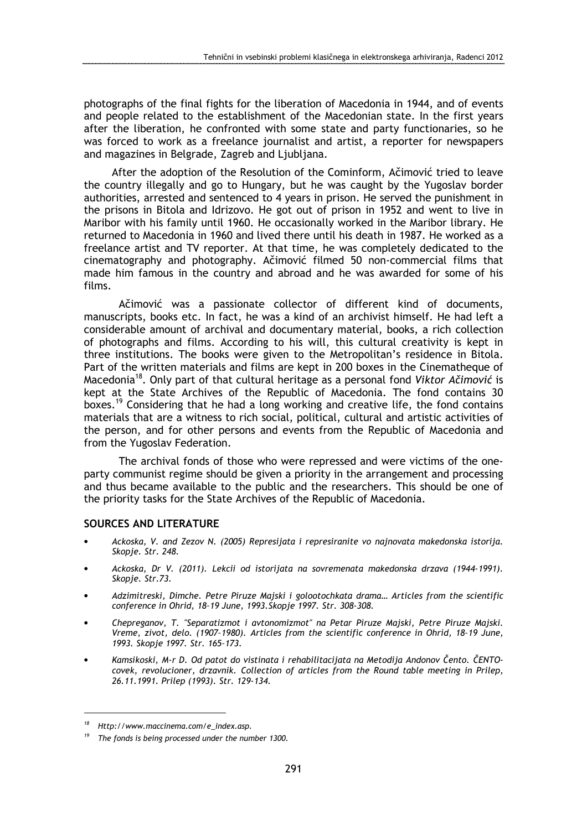photographs of the final fights for the liberation of Macedonia in 1944, and of events and people related to the establishment of the Macedonian state. In the first years after the liberation, he confronted with some state and party functionaries, so he was forced to work as a freelance journalist and artist, a reporter for newspapers and magazines in Belgrade, Zagreb and Ljubljana.

After the adoption of the Resolution of the Cominform, Ačimović tried to leave the country illegally and go to Hungary, but he was caught by the Yugoslav border authorities, arrested and sentenced to 4 years in prison. He served the punishment in the prisons in Bitola and Idrizovo. He got out of prison in 1952 and went to live in Maribor with his family until 1960. He occasionally worked in the Maribor library. He returned to Macedonia in 1960 and lived there until his death in 1987. He worked as a freelance artist and TV reporter. At that time, he was completely dedicated to the cinematography and photography. Ačimović filmed 50 non-commercial films that made him famous in the country and abroad and he was awarded for some of his films.

 Ačimović was a passionate collector of different kind of documents, manuscripts, books etc. In fact, he was a kind of an archivist himself. He had left a considerable amount of archival and documentary material, books, a rich collection of photographs and films. According to his will, this cultural creativity is kept in three institutions. The books were given to the Metropolitan's residence in Bitola. Part of the written materials and films are kept in 200 boxes in the Cinematheque of Macedonia<sup>18</sup>. Only part of that cultural heritage as a personal fond Viktor Ačimović is kept at the State Archives of the Republic of Macedonia. The fond contains 30 boxes.<sup>19</sup> Considering that he had a long working and creative life, the fond contains materials that are a witness to rich social, political, cultural and artistic activities of the person, and for other persons and events from the Republic of Macedonia and from the Yugoslav Federation.

 The archival fonds of those who were repressed and were victims of the oneparty communist regime should be given a priority in the arrangement and processing and thus became available to the public and the researchers. This should be one of the priority tasks for the State Archives of the Republic of Macedonia.

#### SOURCES AND LITERATURE

- Ackoska, V. and Zezov N. (2005) Represijata i represiranite vo najnovata makedonska istorija. Skopje. Str. 248.
- Ackoska, Dr V. (2011). Lekcii od istorijata na sovremenata makedonska drzava (1944-1991). Skopje. Str.73.
- Adzimitreski, Dimche. Petre Piruze Majski i golootochkata drama… Articles from the scientific conference in Ohrid, 18–19 June, 1993.Skopje 1997. Str. 308-308.
- Chepreganov, T. "Separatizmot i avtonomizmot" na Petar Piruze Majski, Petre Piruze Majski. Vreme, zivot, delo. (1907–1980). Articles from the scientific conference in Ohrid, 18–19 June, 1993. Skopje 1997. Str. 165–173.
- Kamsikoski, M-r D. Od patot do vistinata i rehabilitacijata na Metodija Andonov Čento. ČENTOcovek, revolucioner, drzavnik. Collection of articles from the Round table meeting in Prilep, 26.11.1991. Prilep (1993). Str. 129-134.

Http://www.maccinema.com/e\_index.asp.

The fonds is being processed under the number 1300.